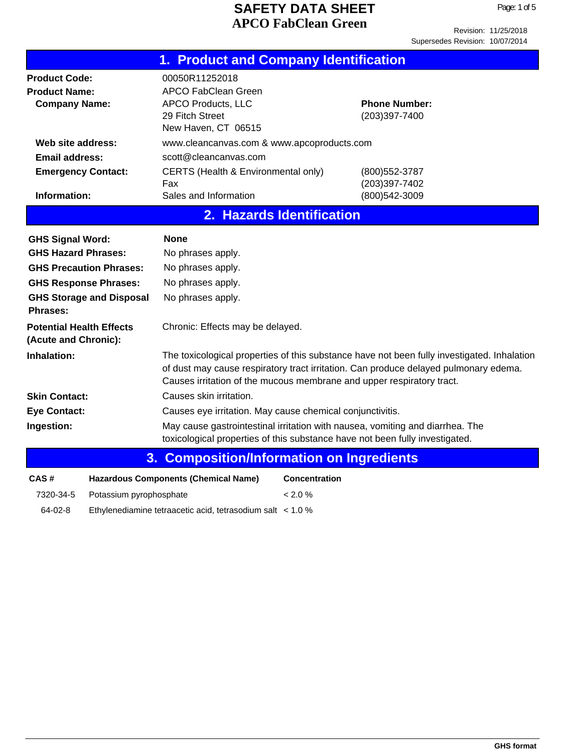|                                                                      | 1. Product and Company Identification                                                                               |                                                                                                                                                                                     |
|----------------------------------------------------------------------|---------------------------------------------------------------------------------------------------------------------|-------------------------------------------------------------------------------------------------------------------------------------------------------------------------------------|
| <b>Product Code:</b><br><b>Product Name:</b><br><b>Company Name:</b> | 00050R11252018<br><b>APCO FabClean Green</b><br><b>APCO Products, LLC</b><br>29 Fitch Street<br>New Haven, CT 06515 | <b>Phone Number:</b><br>(203)397-7400                                                                                                                                               |
| Web site address:                                                    | www.cleancanvas.com & www.apcoproducts.com                                                                          |                                                                                                                                                                                     |
| <b>Email address:</b>                                                | scott@cleancanvas.com                                                                                               |                                                                                                                                                                                     |
| <b>Emergency Contact:</b>                                            | CERTS (Health & Environmental only)<br>Fax                                                                          | (800) 552-3787<br>(203)397-7402                                                                                                                                                     |
| Information:                                                         | Sales and Information                                                                                               | (800) 542-3009                                                                                                                                                                      |
|                                                                      | 2. Hazards Identification                                                                                           |                                                                                                                                                                                     |
| <b>GHS Signal Word:</b>                                              | <b>None</b>                                                                                                         |                                                                                                                                                                                     |
| <b>GHS Hazard Phrases:</b>                                           | No phrases apply.                                                                                                   |                                                                                                                                                                                     |
| <b>GHS Precaution Phrases:</b>                                       | No phrases apply.                                                                                                   |                                                                                                                                                                                     |
| <b>GHS Response Phrases:</b>                                         | No phrases apply.                                                                                                   |                                                                                                                                                                                     |
| <b>GHS Storage and Disposal</b><br>Phrases:                          | No phrases apply.                                                                                                   |                                                                                                                                                                                     |
| <b>Potential Health Effects</b><br>(Acute and Chronic):              | Chronic: Effects may be delayed.                                                                                    |                                                                                                                                                                                     |
| Inhalation:                                                          | Causes irritation of the mucous membrane and upper respiratory tract.                                               | The toxicological properties of this substance have not been fully investigated. Inhalation<br>of dust may cause respiratory tract irritation. Can produce delayed pulmonary edema. |
| <b>Skin Contact:</b>                                                 | Causes skin irritation.                                                                                             |                                                                                                                                                                                     |
| <b>Eye Contact:</b>                                                  | Causes eye irritation. May cause chemical conjunctivitis.                                                           |                                                                                                                                                                                     |
| Ingestion:                                                           | toxicological properties of this substance have not been fully investigated.                                        | May cause gastrointestinal irritation with nausea, vomiting and diarrhea. The                                                                                                       |
| 3.                                                                   | <b>Composition/Information on Ingredients</b>                                                                       |                                                                                                                                                                                     |
| CAS#                                                                 | <b>Hazardous Components (Chemical Name)</b><br><b>Concentration</b>                                                 |                                                                                                                                                                                     |
| 7320-34-5<br>Potassium pyrophosphate                                 | < 2.0 %                                                                                                             |                                                                                                                                                                                     |

64-02-8 Ethylenediamine tetraacetic acid, tetrasodium salt < 1.0 %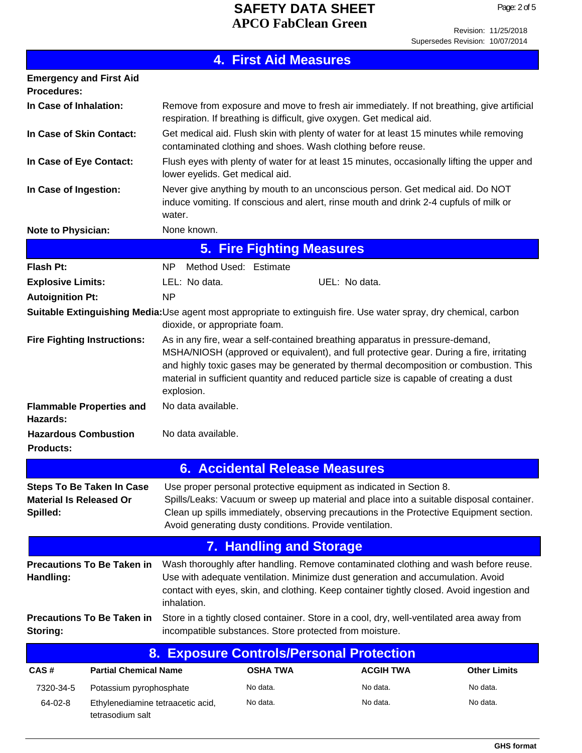|                                                                                                                   |                                 | <b>4. First Aid Measures</b>                            |                                                                                                                                                                                                                                                                                                                                                              |                     |
|-------------------------------------------------------------------------------------------------------------------|---------------------------------|---------------------------------------------------------|--------------------------------------------------------------------------------------------------------------------------------------------------------------------------------------------------------------------------------------------------------------------------------------------------------------------------------------------------------------|---------------------|
| <b>Emergency and First Aid</b><br><b>Procedures:</b>                                                              |                                 |                                                         |                                                                                                                                                                                                                                                                                                                                                              |                     |
| In Case of Inhalation:                                                                                            |                                 |                                                         | Remove from exposure and move to fresh air immediately. If not breathing, give artificial<br>respiration. If breathing is difficult, give oxygen. Get medical aid.                                                                                                                                                                                           |                     |
| In Case of Skin Contact:                                                                                          |                                 |                                                         | Get medical aid. Flush skin with plenty of water for at least 15 minutes while removing<br>contaminated clothing and shoes. Wash clothing before reuse.                                                                                                                                                                                                      |                     |
| In Case of Eye Contact:                                                                                           | lower eyelids. Get medical aid. |                                                         | Flush eyes with plenty of water for at least 15 minutes, occasionally lifting the upper and                                                                                                                                                                                                                                                                  |                     |
| In Case of Ingestion:                                                                                             | water.                          |                                                         | Never give anything by mouth to an unconscious person. Get medical aid. Do NOT<br>induce vomiting. If conscious and alert, rinse mouth and drink 2-4 cupfuls of milk or                                                                                                                                                                                      |                     |
| <b>Note to Physician:</b>                                                                                         | None known.                     |                                                         |                                                                                                                                                                                                                                                                                                                                                              |                     |
|                                                                                                                   |                                 | <b>5. Fire Fighting Measures</b>                        |                                                                                                                                                                                                                                                                                                                                                              |                     |
| <b>Flash Pt:</b>                                                                                                  | NP.                             | Method Used: Estimate                                   |                                                                                                                                                                                                                                                                                                                                                              |                     |
| <b>Explosive Limits:</b>                                                                                          | LEL: No data.                   |                                                         | UEL: No data.                                                                                                                                                                                                                                                                                                                                                |                     |
| <b>Autoignition Pt:</b>                                                                                           | <b>NP</b>                       |                                                         |                                                                                                                                                                                                                                                                                                                                                              |                     |
| Suitable Extinguishing Media:Use agent most appropriate to extinguish fire. Use water spray, dry chemical, carbon | dioxide, or appropriate foam.   |                                                         |                                                                                                                                                                                                                                                                                                                                                              |                     |
| <b>Fire Fighting Instructions:</b>                                                                                | explosion.                      |                                                         | As in any fire, wear a self-contained breathing apparatus in pressure-demand,<br>MSHA/NIOSH (approved or equivalent), and full protective gear. During a fire, irritating<br>and highly toxic gases may be generated by thermal decomposition or combustion. This<br>material in sufficient quantity and reduced particle size is capable of creating a dust |                     |
| <b>Flammable Properties and</b><br>Hazards:                                                                       | No data available.              |                                                         |                                                                                                                                                                                                                                                                                                                                                              |                     |
| <b>Hazardous Combustion</b><br><b>Products:</b>                                                                   | No data available.              |                                                         |                                                                                                                                                                                                                                                                                                                                                              |                     |
|                                                                                                                   |                                 | <b>6. Accidental Release Measures</b>                   |                                                                                                                                                                                                                                                                                                                                                              |                     |
|                                                                                                                   |                                 |                                                         |                                                                                                                                                                                                                                                                                                                                                              |                     |
| <b>Steps To Be Taken In Case</b><br><b>Material Is Released Or</b><br>Spilled:                                    |                                 | Avoid generating dusty conditions. Provide ventilation. | Use proper personal protective equipment as indicated in Section 8.<br>Spills/Leaks: Vacuum or sweep up material and place into a suitable disposal container.<br>Clean up spills immediately, observing precautions in the Protective Equipment section.                                                                                                    |                     |
|                                                                                                                   |                                 | <b>7. Handling and Storage</b>                          |                                                                                                                                                                                                                                                                                                                                                              |                     |
| <b>Precautions To Be Taken in</b><br>Handling:                                                                    | inhalation.                     |                                                         | Wash thoroughly after handling. Remove contaminated clothing and wash before reuse.<br>Use with adequate ventilation. Minimize dust generation and accumulation. Avoid<br>contact with eyes, skin, and clothing. Keep container tightly closed. Avoid ingestion and                                                                                          |                     |
| <b>Precautions To Be Taken in</b><br>Storing:                                                                     |                                 | incompatible substances. Store protected from moisture. | Store in a tightly closed container. Store in a cool, dry, well-ventilated area away from                                                                                                                                                                                                                                                                    |                     |
| 8.                                                                                                                |                                 |                                                         | <b>Exposure Controls/Personal Protection</b>                                                                                                                                                                                                                                                                                                                 |                     |
| <b>Partial Chemical Name</b><br>CAS#                                                                              |                                 | <b>OSHA TWA</b>                                         | <b>ACGIH TWA</b>                                                                                                                                                                                                                                                                                                                                             | <b>Other Limits</b> |
| 7320-34-5<br>Potassium pyrophosphate                                                                              |                                 | No data.                                                | No data.                                                                                                                                                                                                                                                                                                                                                     | No data.            |

64-02-8 Ethylenediamine tetraacetic acid, No data. No data. No data.

tetrasodium salt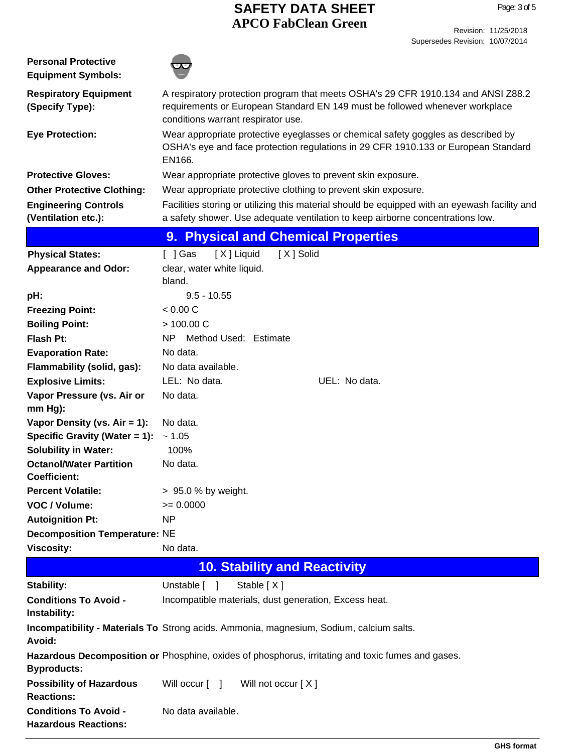| <b>Personal Protective</b><br><b>Equipment Symbols:</b>     |                                                                                                                                                                                                         |
|-------------------------------------------------------------|---------------------------------------------------------------------------------------------------------------------------------------------------------------------------------------------------------|
| <b>Respiratory Equipment</b><br>(Specify Type):             | A respiratory protection program that meets OSHA's 29 CFR 1910.134 and ANSI Z88.2<br>requirements or European Standard EN 149 must be followed whenever workplace<br>conditions warrant respirator use. |
| <b>Eye Protection:</b>                                      | Wear appropriate protective eyeglasses or chemical safety goggles as described by<br>OSHA's eye and face protection regulations in 29 CFR 1910.133 or European Standard<br>EN166.                       |
| <b>Protective Gloves:</b>                                   | Wear appropriate protective gloves to prevent skin exposure.                                                                                                                                            |
| <b>Other Protective Clothing:</b>                           | Wear appropriate protective clothing to prevent skin exposure.                                                                                                                                          |
| <b>Engineering Controls</b>                                 | Facilities storing or utilizing this material should be equipped with an eyewash facility and                                                                                                           |
| (Ventilation etc.):                                         | a safety shower. Use adequate ventilation to keep airborne concentrations low.                                                                                                                          |
|                                                             | <b>Physical and Chemical Properties</b><br>9.                                                                                                                                                           |
| <b>Physical States:</b>                                     | [X] Liquid<br>[X] Solid<br>[ ] Gas                                                                                                                                                                      |
| <b>Appearance and Odor:</b>                                 | clear, water white liquid.                                                                                                                                                                              |
|                                                             | bland.                                                                                                                                                                                                  |
| pH:                                                         | $9.5 - 10.55$                                                                                                                                                                                           |
| <b>Freezing Point:</b>                                      | < 0.00 C                                                                                                                                                                                                |
| <b>Boiling Point:</b>                                       | > 100.00 C                                                                                                                                                                                              |
| <b>Flash Pt:</b>                                            | N <sub>P</sub><br>Method Used: Estimate                                                                                                                                                                 |
| <b>Evaporation Rate:</b>                                    | No data.                                                                                                                                                                                                |
| Flammability (solid, gas):                                  | No data available.                                                                                                                                                                                      |
| <b>Explosive Limits:</b>                                    | LEL: No data.<br>UEL: No data.<br>No data.                                                                                                                                                              |
| Vapor Pressure (vs. Air or<br>$mm Hg$ :                     |                                                                                                                                                                                                         |
| Vapor Density (vs. $Air = 1$ ):                             | No data.                                                                                                                                                                                                |
| Specific Gravity (Water = 1):                               | ~1.05                                                                                                                                                                                                   |
| <b>Solubility in Water:</b>                                 | 100%                                                                                                                                                                                                    |
| <b>Octanol/Water Partition</b>                              | No data.                                                                                                                                                                                                |
| <b>Coefficient:</b>                                         |                                                                                                                                                                                                         |
| <b>Percent Volatile:</b>                                    | > 95.0 % by weight.                                                                                                                                                                                     |
| VOC / Volume:                                               | $= 0.0000$                                                                                                                                                                                              |
| <b>Autoignition Pt:</b>                                     | <b>NP</b>                                                                                                                                                                                               |
| <b>Decomposition Temperature: NE</b>                        |                                                                                                                                                                                                         |
| <b>Viscosity:</b>                                           | No data.                                                                                                                                                                                                |
|                                                             | <b>10. Stability and Reactivity</b>                                                                                                                                                                     |
| Stability:                                                  | Stable [X]<br>Unstable [ ]                                                                                                                                                                              |
| <b>Conditions To Avoid -</b><br>Instability:                | Incompatible materials, dust generation, Excess heat.                                                                                                                                                   |
| Avoid:                                                      | Incompatibility - Materials To Strong acids. Ammonia, magnesium, Sodium, calcium salts.                                                                                                                 |
| <b>Byproducts:</b>                                          | Hazardous Decomposition or Phosphine, oxides of phosphorus, irritating and toxic fumes and gases.                                                                                                       |
| <b>Possibility of Hazardous</b><br><b>Reactions:</b>        | Will not occur [X]<br>Will occur $\lceil \quad \rceil$                                                                                                                                                  |
| <b>Conditions To Avoid -</b><br><b>Hazardous Reactions:</b> | No data available.                                                                                                                                                                                      |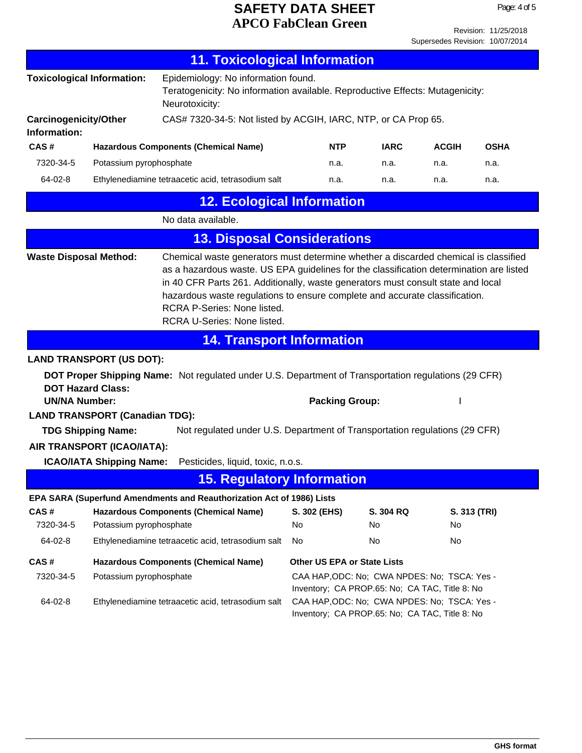Page: 4 of 5

Revision: 11/25/2018 Supersedes Revision: 10/07/2014

|                                                                                             |                                                               | <b>11. Toxicological Information</b>                                                                                                                                                                                                                                                                                                                                                                                   |                  |                             |                                                                                                |             |
|---------------------------------------------------------------------------------------------|---------------------------------------------------------------|------------------------------------------------------------------------------------------------------------------------------------------------------------------------------------------------------------------------------------------------------------------------------------------------------------------------------------------------------------------------------------------------------------------------|------------------|-----------------------------|------------------------------------------------------------------------------------------------|-------------|
|                                                                                             | <b>Toxicological Information:</b>                             | Epidemiology: No information found.<br>Teratogenicity: No information available. Reproductive Effects: Mutagenicity:<br>Neurotoxicity:                                                                                                                                                                                                                                                                                 |                  |                             |                                                                                                |             |
| <b>Carcinogenicity/Other</b><br>Information:                                                |                                                               | CAS# 7320-34-5: Not listed by ACGIH, IARC, NTP, or CA Prop 65.                                                                                                                                                                                                                                                                                                                                                         |                  |                             |                                                                                                |             |
| CAS#                                                                                        |                                                               | <b>Hazardous Components (Chemical Name)</b>                                                                                                                                                                                                                                                                                                                                                                            | <b>NTP</b>       | <b>IARC</b>                 | <b>ACGIH</b>                                                                                   | <b>OSHA</b> |
| 7320-34-5                                                                                   | Potassium pyrophosphate                                       |                                                                                                                                                                                                                                                                                                                                                                                                                        | n.a.             | n.a.                        | n.a.                                                                                           | n.a.        |
| 64-02-8                                                                                     |                                                               | Ethylenediamine tetraacetic acid, tetrasodium salt                                                                                                                                                                                                                                                                                                                                                                     | n.a.             | n.a.                        | n.a.                                                                                           | n.a.        |
|                                                                                             |                                                               | <b>12. Ecological Information</b>                                                                                                                                                                                                                                                                                                                                                                                      |                  |                             |                                                                                                |             |
|                                                                                             |                                                               | No data available.                                                                                                                                                                                                                                                                                                                                                                                                     |                  |                             |                                                                                                |             |
|                                                                                             |                                                               | <b>13. Disposal Considerations</b>                                                                                                                                                                                                                                                                                                                                                                                     |                  |                             |                                                                                                |             |
| <b>Waste Disposal Method:</b>                                                               |                                                               | Chemical waste generators must determine whether a discarded chemical is classified<br>as a hazardous waste. US EPA guidelines for the classification determination are listed<br>in 40 CFR Parts 261. Additionally, waste generators must consult state and local<br>hazardous waste regulations to ensure complete and accurate classification.<br>RCRA P-Series: None listed.<br><b>RCRA U-Series: None listed.</b> |                  |                             |                                                                                                |             |
|                                                                                             |                                                               | <b>14. Transport Information</b>                                                                                                                                                                                                                                                                                                                                                                                       |                  |                             |                                                                                                |             |
|                                                                                             | <b>LAND TRANSPORT (US DOT):</b>                               |                                                                                                                                                                                                                                                                                                                                                                                                                        |                  |                             |                                                                                                |             |
| <b>UN/NA Number:</b>                                                                        | <b>DOT Hazard Class:</b>                                      | DOT Proper Shipping Name: Not regulated under U.S. Department of Transportation regulations (29 CFR)                                                                                                                                                                                                                                                                                                                   |                  | <b>Packing Group:</b>       |                                                                                                |             |
|                                                                                             | <b>LAND TRANSPORT (Canadian TDG):</b>                         |                                                                                                                                                                                                                                                                                                                                                                                                                        |                  |                             |                                                                                                |             |
|                                                                                             | <b>TDG Shipping Name:</b>                                     | Not regulated under U.S. Department of Transportation regulations (29 CFR)                                                                                                                                                                                                                                                                                                                                             |                  |                             |                                                                                                |             |
|                                                                                             | AIR TRANSPORT (ICAO/IATA):<br><b>ICAO/IATA Shipping Name:</b> | Pesticides, liquid, toxic, n.o.s.                                                                                                                                                                                                                                                                                                                                                                                      |                  |                             |                                                                                                |             |
|                                                                                             |                                                               | <b>15. Regulatory Information</b>                                                                                                                                                                                                                                                                                                                                                                                      |                  |                             |                                                                                                |             |
|                                                                                             |                                                               | EPA SARA (Superfund Amendments and Reauthorization Act of 1986) Lists                                                                                                                                                                                                                                                                                                                                                  |                  |                             |                                                                                                |             |
| CAS#<br><b>Hazardous Components (Chemical Name)</b><br>7320-34-5<br>Potassium pyrophosphate |                                                               | S. 302 (EHS)<br>No.                                                                                                                                                                                                                                                                                                                                                                                                    | S. 304 RQ<br>No. | No.                         | S. 313 (TRI)                                                                                   |             |
| 64-02-8                                                                                     |                                                               | Ethylenediamine tetraacetic acid, tetrasodium salt                                                                                                                                                                                                                                                                                                                                                                     | No               | No                          | No                                                                                             |             |
| CAS#                                                                                        |                                                               | <b>Hazardous Components (Chemical Name)</b>                                                                                                                                                                                                                                                                                                                                                                            |                  | Other US EPA or State Lists |                                                                                                |             |
| 7320-34-5                                                                                   | Potassium pyrophosphate                                       |                                                                                                                                                                                                                                                                                                                                                                                                                        |                  |                             | CAA HAP, ODC: No; CWA NPDES: No; TSCA: Yes -<br>Inventory; CA PROP.65: No; CA TAC, Title 8: No |             |
| 64-02-8                                                                                     |                                                               | Ethylenediamine tetraacetic acid, tetrasodium salt                                                                                                                                                                                                                                                                                                                                                                     |                  |                             | CAA HAP, ODC: No; CWA NPDES: No; TSCA: Yes -<br>Inventory; CA PROP.65: No; CA TAC, Title 8: No |             |